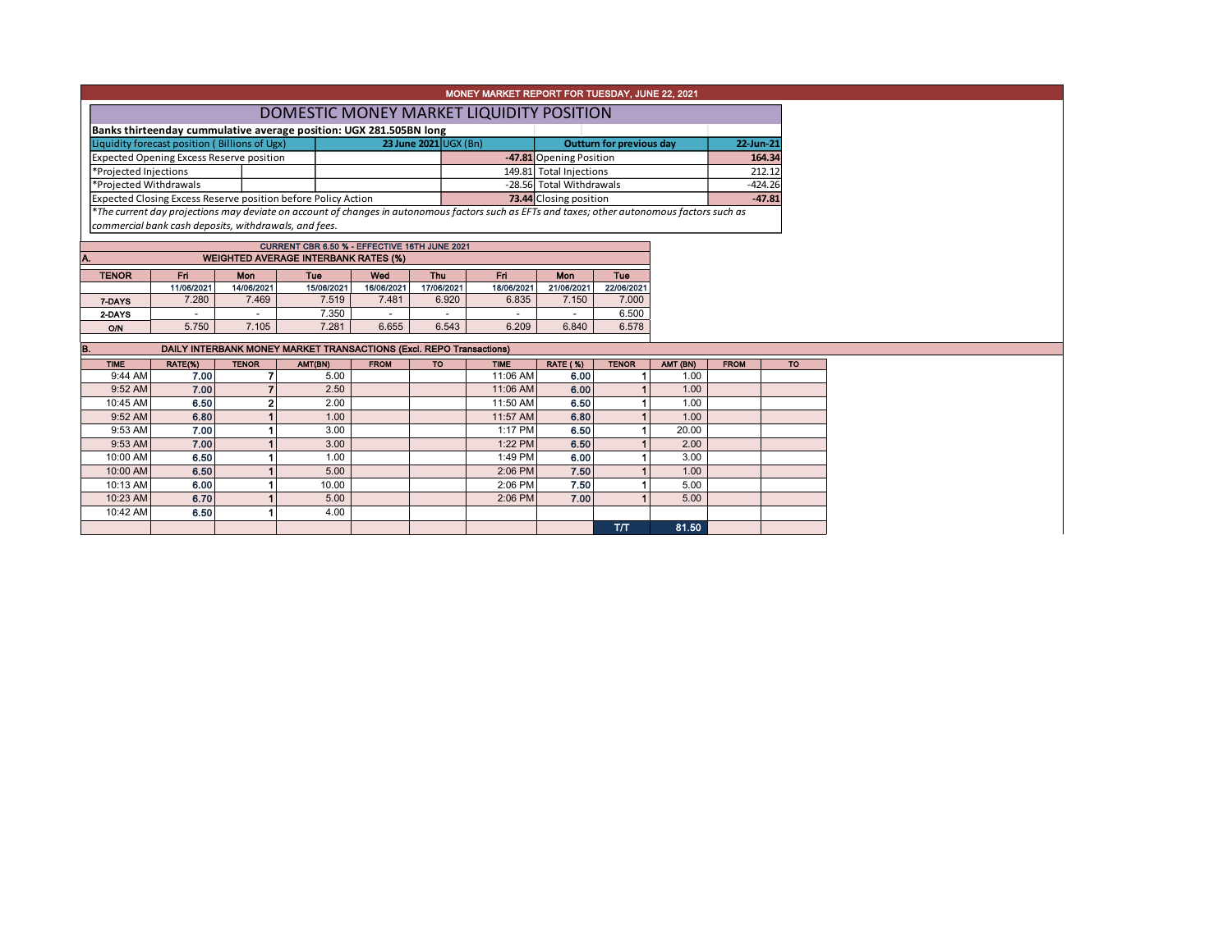| DOMESTIC MONEY MARKET LIQUIDITY POSITION<br>Liquidity forecast position (Billions of Ugx)<br>23 June 2021 UGX (Bn)<br><b>Outturn for previous day</b><br>22-Jun-21<br><b>Expected Opening Excess Reserve position</b><br>-47.81 Opening Position<br>164.34<br>*Projected Injections<br>149.81 Total Injections<br>212.12<br>-28.56 Total Withdrawals<br>$-424.26$<br>*Projected Withdrawals<br>Expected Closing Excess Reserve position before Policy Action<br>73.44 Closing position<br>$-47.81$<br>*The current day projections may deviate on account of changes in autonomous factors such as EFTs and taxes; other autonomous factors such as<br>commercial bank cash deposits, withdrawals, and fees.<br>CURRENT CBR 6.50 % - EFFECTIVE 16TH JUNE 2021<br><b>WEIGHTED AVERAGE INTERBANK RATES (%)</b><br><b>TENOR</b><br>Fri<br>Tue<br>Thu<br><b>Fri</b><br>Wod<br>Mon<br>Tuo<br>Mon<br>15/06/2021<br>17/06/2021<br>18/06/2021<br>11/06/2021<br>14/06/2021<br>16/06/2021<br>21/06/2021<br>22/06/2021<br>7.280<br>7.469<br>7.519<br>6.835<br>7.481<br>6.920<br>7.150<br>7.000<br>7-DAYS<br>7.350<br>6.500<br>2-DAYS<br>7.105<br>7.281<br>5.750<br>6.655<br>6.543<br>6.209<br>6.840<br>6.578<br><b>O/N</b><br>DAILY INTERBANK MONEY MARKET TRANSACTIONS (Excl. REPO Transactions)<br><b>RATE (%)</b><br><b>TIME</b><br>RATE(%)<br><b>TENOR</b><br>AMT(BN)<br><b>FROM</b><br><b>TO</b><br><b>TIME</b><br><b>TENOR</b><br>AMT (BN)<br><b>FROM</b><br>7<br>1<br>9:44 AM<br>7.00<br>5.00<br>11:06 AM<br>6.00<br>1.00<br>$\overline{7}$<br>9:52 AM<br>2.50<br>7.00<br>11:06 AM<br>6.00<br>1.00<br>6.50<br>2<br>6.50<br>10:45 AM<br>2.00<br>11:50 AM<br>1.00<br>1<br>9:52 AM<br>6.80<br>1.00<br>11:57 AM<br>6.80<br>1.00<br>1<br>3.00<br>1:17 PM<br>9:53 AM<br>7.00<br>1<br>20.00<br>6.50<br>7.00<br>6.50<br>9:53 AM<br>3.00<br>1:22 PM<br>1<br>2.00<br>10:00 AM<br>6.50<br>1.00<br>1:49 PM<br>6.00<br>3.00<br>1<br>7.50<br>10:00 AM<br>6.50<br>5.00<br>2:06 PM<br>1<br>1.00<br>2:06 PM<br>7.50<br>10:13 AM<br>6.00<br>10.00<br>1<br>5.00<br>10:23 AM<br>6.70<br>5.00<br>2:06 PM<br>7.00<br>5.00<br>6.50<br>4.00<br>10:42 AM | MONEY MARKET REPORT FOR TUESDAY, JUNE 22, 2021                     |  |  |  |  |  |  |  |     |       |  |           |  |  |
|-----------------------------------------------------------------------------------------------------------------------------------------------------------------------------------------------------------------------------------------------------------------------------------------------------------------------------------------------------------------------------------------------------------------------------------------------------------------------------------------------------------------------------------------------------------------------------------------------------------------------------------------------------------------------------------------------------------------------------------------------------------------------------------------------------------------------------------------------------------------------------------------------------------------------------------------------------------------------------------------------------------------------------------------------------------------------------------------------------------------------------------------------------------------------------------------------------------------------------------------------------------------------------------------------------------------------------------------------------------------------------------------------------------------------------------------------------------------------------------------------------------------------------------------------------------------------------------------------------------------------------------------------------------------------------------------------------------------------------------------------------------------------------------------------------------------------------------------------------------------------------------------------------------------------------------------------------------------------------------------------------------------------------------------------------------------------------------------------------------------------------|--------------------------------------------------------------------|--|--|--|--|--|--|--|-----|-------|--|-----------|--|--|
|                                                                                                                                                                                                                                                                                                                                                                                                                                                                                                                                                                                                                                                                                                                                                                                                                                                                                                                                                                                                                                                                                                                                                                                                                                                                                                                                                                                                                                                                                                                                                                                                                                                                                                                                                                                                                                                                                                                                                                                                                                                                                                                             |                                                                    |  |  |  |  |  |  |  |     |       |  |           |  |  |
|                                                                                                                                                                                                                                                                                                                                                                                                                                                                                                                                                                                                                                                                                                                                                                                                                                                                                                                                                                                                                                                                                                                                                                                                                                                                                                                                                                                                                                                                                                                                                                                                                                                                                                                                                                                                                                                                                                                                                                                                                                                                                                                             | Banks thirteenday cummulative average position: UGX 281.505BN long |  |  |  |  |  |  |  |     |       |  |           |  |  |
|                                                                                                                                                                                                                                                                                                                                                                                                                                                                                                                                                                                                                                                                                                                                                                                                                                                                                                                                                                                                                                                                                                                                                                                                                                                                                                                                                                                                                                                                                                                                                                                                                                                                                                                                                                                                                                                                                                                                                                                                                                                                                                                             |                                                                    |  |  |  |  |  |  |  |     |       |  |           |  |  |
|                                                                                                                                                                                                                                                                                                                                                                                                                                                                                                                                                                                                                                                                                                                                                                                                                                                                                                                                                                                                                                                                                                                                                                                                                                                                                                                                                                                                                                                                                                                                                                                                                                                                                                                                                                                                                                                                                                                                                                                                                                                                                                                             |                                                                    |  |  |  |  |  |  |  |     |       |  |           |  |  |
|                                                                                                                                                                                                                                                                                                                                                                                                                                                                                                                                                                                                                                                                                                                                                                                                                                                                                                                                                                                                                                                                                                                                                                                                                                                                                                                                                                                                                                                                                                                                                                                                                                                                                                                                                                                                                                                                                                                                                                                                                                                                                                                             |                                                                    |  |  |  |  |  |  |  |     |       |  |           |  |  |
|                                                                                                                                                                                                                                                                                                                                                                                                                                                                                                                                                                                                                                                                                                                                                                                                                                                                                                                                                                                                                                                                                                                                                                                                                                                                                                                                                                                                                                                                                                                                                                                                                                                                                                                                                                                                                                                                                                                                                                                                                                                                                                                             |                                                                    |  |  |  |  |  |  |  |     |       |  |           |  |  |
|                                                                                                                                                                                                                                                                                                                                                                                                                                                                                                                                                                                                                                                                                                                                                                                                                                                                                                                                                                                                                                                                                                                                                                                                                                                                                                                                                                                                                                                                                                                                                                                                                                                                                                                                                                                                                                                                                                                                                                                                                                                                                                                             |                                                                    |  |  |  |  |  |  |  |     |       |  |           |  |  |
|                                                                                                                                                                                                                                                                                                                                                                                                                                                                                                                                                                                                                                                                                                                                                                                                                                                                                                                                                                                                                                                                                                                                                                                                                                                                                                                                                                                                                                                                                                                                                                                                                                                                                                                                                                                                                                                                                                                                                                                                                                                                                                                             |                                                                    |  |  |  |  |  |  |  |     |       |  |           |  |  |
|                                                                                                                                                                                                                                                                                                                                                                                                                                                                                                                                                                                                                                                                                                                                                                                                                                                                                                                                                                                                                                                                                                                                                                                                                                                                                                                                                                                                                                                                                                                                                                                                                                                                                                                                                                                                                                                                                                                                                                                                                                                                                                                             |                                                                    |  |  |  |  |  |  |  |     |       |  |           |  |  |
|                                                                                                                                                                                                                                                                                                                                                                                                                                                                                                                                                                                                                                                                                                                                                                                                                                                                                                                                                                                                                                                                                                                                                                                                                                                                                                                                                                                                                                                                                                                                                                                                                                                                                                                                                                                                                                                                                                                                                                                                                                                                                                                             |                                                                    |  |  |  |  |  |  |  |     |       |  |           |  |  |
|                                                                                                                                                                                                                                                                                                                                                                                                                                                                                                                                                                                                                                                                                                                                                                                                                                                                                                                                                                                                                                                                                                                                                                                                                                                                                                                                                                                                                                                                                                                                                                                                                                                                                                                                                                                                                                                                                                                                                                                                                                                                                                                             | А.                                                                 |  |  |  |  |  |  |  |     |       |  |           |  |  |
|                                                                                                                                                                                                                                                                                                                                                                                                                                                                                                                                                                                                                                                                                                                                                                                                                                                                                                                                                                                                                                                                                                                                                                                                                                                                                                                                                                                                                                                                                                                                                                                                                                                                                                                                                                                                                                                                                                                                                                                                                                                                                                                             |                                                                    |  |  |  |  |  |  |  |     |       |  |           |  |  |
|                                                                                                                                                                                                                                                                                                                                                                                                                                                                                                                                                                                                                                                                                                                                                                                                                                                                                                                                                                                                                                                                                                                                                                                                                                                                                                                                                                                                                                                                                                                                                                                                                                                                                                                                                                                                                                                                                                                                                                                                                                                                                                                             |                                                                    |  |  |  |  |  |  |  |     |       |  |           |  |  |
|                                                                                                                                                                                                                                                                                                                                                                                                                                                                                                                                                                                                                                                                                                                                                                                                                                                                                                                                                                                                                                                                                                                                                                                                                                                                                                                                                                                                                                                                                                                                                                                                                                                                                                                                                                                                                                                                                                                                                                                                                                                                                                                             |                                                                    |  |  |  |  |  |  |  |     |       |  |           |  |  |
|                                                                                                                                                                                                                                                                                                                                                                                                                                                                                                                                                                                                                                                                                                                                                                                                                                                                                                                                                                                                                                                                                                                                                                                                                                                                                                                                                                                                                                                                                                                                                                                                                                                                                                                                                                                                                                                                                                                                                                                                                                                                                                                             |                                                                    |  |  |  |  |  |  |  |     |       |  |           |  |  |
|                                                                                                                                                                                                                                                                                                                                                                                                                                                                                                                                                                                                                                                                                                                                                                                                                                                                                                                                                                                                                                                                                                                                                                                                                                                                                                                                                                                                                                                                                                                                                                                                                                                                                                                                                                                                                                                                                                                                                                                                                                                                                                                             |                                                                    |  |  |  |  |  |  |  |     |       |  |           |  |  |
|                                                                                                                                                                                                                                                                                                                                                                                                                                                                                                                                                                                                                                                                                                                                                                                                                                                                                                                                                                                                                                                                                                                                                                                                                                                                                                                                                                                                                                                                                                                                                                                                                                                                                                                                                                                                                                                                                                                                                                                                                                                                                                                             |                                                                    |  |  |  |  |  |  |  |     |       |  |           |  |  |
|                                                                                                                                                                                                                                                                                                                                                                                                                                                                                                                                                                                                                                                                                                                                                                                                                                                                                                                                                                                                                                                                                                                                                                                                                                                                                                                                                                                                                                                                                                                                                                                                                                                                                                                                                                                                                                                                                                                                                                                                                                                                                                                             | В.                                                                 |  |  |  |  |  |  |  |     |       |  |           |  |  |
|                                                                                                                                                                                                                                                                                                                                                                                                                                                                                                                                                                                                                                                                                                                                                                                                                                                                                                                                                                                                                                                                                                                                                                                                                                                                                                                                                                                                                                                                                                                                                                                                                                                                                                                                                                                                                                                                                                                                                                                                                                                                                                                             |                                                                    |  |  |  |  |  |  |  |     |       |  | <b>TO</b> |  |  |
|                                                                                                                                                                                                                                                                                                                                                                                                                                                                                                                                                                                                                                                                                                                                                                                                                                                                                                                                                                                                                                                                                                                                                                                                                                                                                                                                                                                                                                                                                                                                                                                                                                                                                                                                                                                                                                                                                                                                                                                                                                                                                                                             |                                                                    |  |  |  |  |  |  |  |     |       |  |           |  |  |
|                                                                                                                                                                                                                                                                                                                                                                                                                                                                                                                                                                                                                                                                                                                                                                                                                                                                                                                                                                                                                                                                                                                                                                                                                                                                                                                                                                                                                                                                                                                                                                                                                                                                                                                                                                                                                                                                                                                                                                                                                                                                                                                             |                                                                    |  |  |  |  |  |  |  |     |       |  |           |  |  |
|                                                                                                                                                                                                                                                                                                                                                                                                                                                                                                                                                                                                                                                                                                                                                                                                                                                                                                                                                                                                                                                                                                                                                                                                                                                                                                                                                                                                                                                                                                                                                                                                                                                                                                                                                                                                                                                                                                                                                                                                                                                                                                                             |                                                                    |  |  |  |  |  |  |  |     |       |  |           |  |  |
|                                                                                                                                                                                                                                                                                                                                                                                                                                                                                                                                                                                                                                                                                                                                                                                                                                                                                                                                                                                                                                                                                                                                                                                                                                                                                                                                                                                                                                                                                                                                                                                                                                                                                                                                                                                                                                                                                                                                                                                                                                                                                                                             |                                                                    |  |  |  |  |  |  |  |     |       |  |           |  |  |
|                                                                                                                                                                                                                                                                                                                                                                                                                                                                                                                                                                                                                                                                                                                                                                                                                                                                                                                                                                                                                                                                                                                                                                                                                                                                                                                                                                                                                                                                                                                                                                                                                                                                                                                                                                                                                                                                                                                                                                                                                                                                                                                             |                                                                    |  |  |  |  |  |  |  |     |       |  |           |  |  |
|                                                                                                                                                                                                                                                                                                                                                                                                                                                                                                                                                                                                                                                                                                                                                                                                                                                                                                                                                                                                                                                                                                                                                                                                                                                                                                                                                                                                                                                                                                                                                                                                                                                                                                                                                                                                                                                                                                                                                                                                                                                                                                                             |                                                                    |  |  |  |  |  |  |  |     |       |  |           |  |  |
|                                                                                                                                                                                                                                                                                                                                                                                                                                                                                                                                                                                                                                                                                                                                                                                                                                                                                                                                                                                                                                                                                                                                                                                                                                                                                                                                                                                                                                                                                                                                                                                                                                                                                                                                                                                                                                                                                                                                                                                                                                                                                                                             |                                                                    |  |  |  |  |  |  |  |     |       |  |           |  |  |
|                                                                                                                                                                                                                                                                                                                                                                                                                                                                                                                                                                                                                                                                                                                                                                                                                                                                                                                                                                                                                                                                                                                                                                                                                                                                                                                                                                                                                                                                                                                                                                                                                                                                                                                                                                                                                                                                                                                                                                                                                                                                                                                             |                                                                    |  |  |  |  |  |  |  |     |       |  |           |  |  |
|                                                                                                                                                                                                                                                                                                                                                                                                                                                                                                                                                                                                                                                                                                                                                                                                                                                                                                                                                                                                                                                                                                                                                                                                                                                                                                                                                                                                                                                                                                                                                                                                                                                                                                                                                                                                                                                                                                                                                                                                                                                                                                                             |                                                                    |  |  |  |  |  |  |  |     |       |  |           |  |  |
|                                                                                                                                                                                                                                                                                                                                                                                                                                                                                                                                                                                                                                                                                                                                                                                                                                                                                                                                                                                                                                                                                                                                                                                                                                                                                                                                                                                                                                                                                                                                                                                                                                                                                                                                                                                                                                                                                                                                                                                                                                                                                                                             |                                                                    |  |  |  |  |  |  |  |     |       |  |           |  |  |
|                                                                                                                                                                                                                                                                                                                                                                                                                                                                                                                                                                                                                                                                                                                                                                                                                                                                                                                                                                                                                                                                                                                                                                                                                                                                                                                                                                                                                                                                                                                                                                                                                                                                                                                                                                                                                                                                                                                                                                                                                                                                                                                             |                                                                    |  |  |  |  |  |  |  | T/T | 81.50 |  |           |  |  |

a sa kacamatan ing Kabupatèn Kabupatèn Ing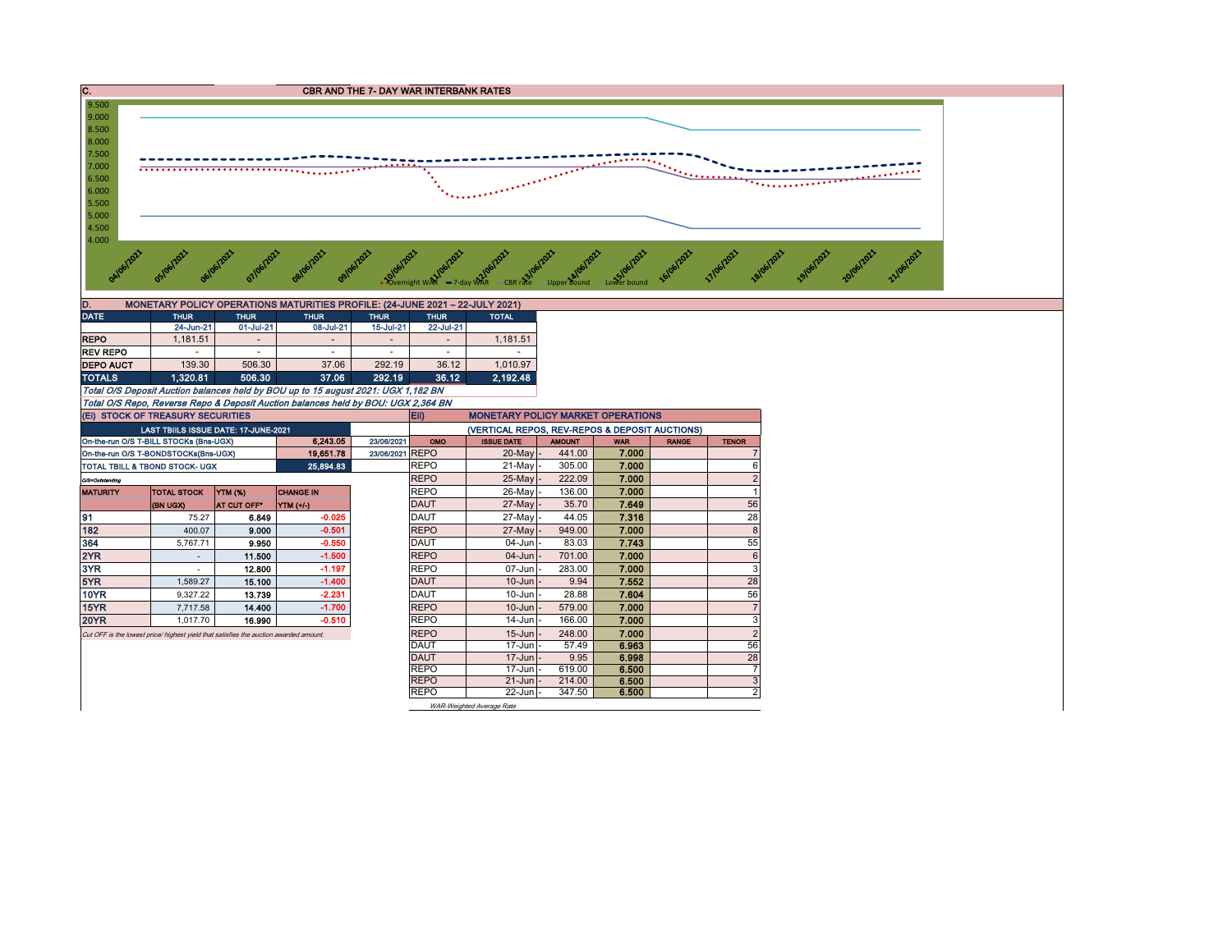

| <b>DATE</b>      | <b>THUR</b> | <b>THUR</b>              | <b>THUR</b>              | <b>THUR</b>              | <b>THUR</b>              | <b>TOTAL</b> |
|------------------|-------------|--------------------------|--------------------------|--------------------------|--------------------------|--------------|
|                  | 24-Jun-21   | 01-Jul-21                | 08-Jul-21                | 15-Jul-21                | 22-Jul-21                |              |
| <b>REPO</b>      | 1.181.51    | $\overline{\phantom{a}}$ | $\overline{\phantom{a}}$ | $\overline{\phantom{a}}$ | $\overline{\phantom{a}}$ | 1.181.51     |
| <b>REV REPO</b>  | ۰           |                          | ۰                        | $\overline{\phantom{a}}$ | ۰                        | -            |
| <b>DEPO AUCT</b> | 139.30      | 506.30                   | 37.06                    | 292.19                   | 36.12                    | 1.010.97     |
| <b>TOTALS</b>    | 1.320.81    | 506.30                   | 37.06                    | 292.19                   | 36.12                    | 2.192.48     |
|                  |             |                          |                          |                          |                          |              |

Total O/S Deposit Auction balances held by BOU up to 15 august 2021: UGX 1,182 BN Total O/S Repo, Reverse Repo & Deposit Auction balances held by BOU: UGX 2,364 BN

|                                                                      | (EI) STOCK OF TREASURY SECURITIES                                                     |             |             |                                                | Eii)<br><b>MONETARY POLICY MARKET OPERATIONS</b> |                     |               |                |              |                |  |  |
|----------------------------------------------------------------------|---------------------------------------------------------------------------------------|-------------|-------------|------------------------------------------------|--------------------------------------------------|---------------------|---------------|----------------|--------------|----------------|--|--|
|                                                                      | LAST TBIILS ISSUE DATE: 17-JUNE-2021                                                  |             |             | (VERTICAL REPOS, REV-REPOS & DEPOSIT AUCTIONS) |                                                  |                     |               |                |              |                |  |  |
|                                                                      | On-the-run O/S T-BILL STOCKs (Bns-UGX)                                                |             | 6.243.05    | 23/06/2021                                     | OMO                                              | <b>ISSUE DATE</b>   | <b>AMOUNT</b> | <b>WAR</b>     | <b>RANGE</b> | <b>TENOR</b>   |  |  |
|                                                                      | On-the-run O/S T-BONDSTOCKs(Bns-UGX)                                                  |             | 19,651.78   | 23/06/2021                                     | <b>REPO</b>                                      | $20$ -May           | 441.00        | 7.000          |              |                |  |  |
| <b>TOTAL TBILL &amp; TBOND STOCK- UGX</b>                            |                                                                                       | <b>REPO</b> | 21-May      | 305.00                                         | 7.000                                            |                     | 6             |                |              |                |  |  |
| O/S=Outstanding                                                      |                                                                                       |             | <b>REPO</b> | 25-May -                                       | 222.09                                           | 7.000               |               | $\overline{2}$ |              |                |  |  |
| YTM (%)<br><b>MATURITY</b><br><b>CHANGE IN</b><br><b>TOTAL STOCK</b> |                                                                                       |             |             |                                                | <b>REPO</b>                                      | 26-Mayl-            | 136.00        | 7.000          |              |                |  |  |
|                                                                      | (BN UGX)                                                                              | AT CUT OFF* | YTM (+/-)   |                                                | <b>DAUT</b>                                      | $27$ -May -         | 35.70         | 7.649          |              | 56             |  |  |
| 91                                                                   | 75.27                                                                                 | 6.849       | $-0.025$    |                                                | <b>DAUT</b>                                      | 27-May -            | 44.05         | 7.316          |              | 28             |  |  |
| 182                                                                  | 400.07                                                                                | 9.000       | $-0.501$    |                                                | <b>REPO</b>                                      | $27$ -May -         | 949.00        | 7.000          |              | 8              |  |  |
| 364                                                                  | 5.767.71                                                                              | 9.950       | $-0.550$    |                                                | <b>DAUT</b>                                      | $04$ -Jun $-$       | 83.03         | 7.743          |              | 55             |  |  |
| 2YR                                                                  | $\overline{a}$                                                                        | 11.500      | $-1.500$    |                                                | <b>REPO</b>                                      | $04$ -Jun $-$       | 701.00        | 7.000          |              | 6              |  |  |
| 3YR                                                                  |                                                                                       | 12.800      | $-1.197$    |                                                | <b>REPO</b>                                      | $07 - Jun$          | 283.00        | 7.000          |              | 3              |  |  |
| 5YR                                                                  | 1.589.27                                                                              | 15.100      | $-1.400$    |                                                | <b>DAUT</b>                                      | $10$ -Jun $-$       | 9.94          | 7.552          |              | 28             |  |  |
| <b>10YR</b>                                                          | 9.327.22                                                                              | 13.739      | $-2.231$    |                                                | <b>DAUT</b>                                      | $10$ -Jun $-$       | 28.88         | 7.604          |              | 56             |  |  |
| 15YR                                                                 | 7.717.58                                                                              | 14.400      | $-1.700$    |                                                | <b>REPO</b>                                      | $10$ -Jun $\vert$ - | 579.00        | 7.000          |              | $\overline{7}$ |  |  |
| <b>20YR</b>                                                          | 1.017.70                                                                              | 16.990      | $-0.510$    |                                                | <b>REPO</b>                                      | $14$ -Jun           | 166.00        | 7.000          |              | 3              |  |  |
|                                                                      | Cut OFF is the lowest price/ highest yield that satisfies the auction awarded amount. |             |             |                                                | <b>REPO</b>                                      | $15$ -Jun $-$       | 248.00        | 7.000          |              | $\overline{2}$ |  |  |
|                                                                      |                                                                                       |             |             |                                                | <b>DAUT</b>                                      | $17 - Jun$ .        | 57.49         | 6.963          |              | 56             |  |  |
|                                                                      |                                                                                       |             |             |                                                | <b>DAUT</b>                                      | $17 - Jun$ -        | 9.95          | 6.998          |              | 28             |  |  |
|                                                                      |                                                                                       |             |             |                                                | <b>REPO</b>                                      | $17 - Jun$          | 619.00        | 6.500          |              | $\overline{7}$ |  |  |
|                                                                      |                                                                                       |             |             |                                                | <b>REPO</b>                                      | $21$ -Jun $-$       | 214.00        | 6.500          |              | 3              |  |  |
|                                                                      |                                                                                       |             |             |                                                | <b>REPO</b>                                      | $22$ -Jun           | 347.50        | 6.500          |              | $\overline{2}$ |  |  |
|                                                                      | WAR-Weighted Average Rate                                                             |             |             |                                                |                                                  |                     |               |                |              |                |  |  |

WAR-Weighted Average Rate